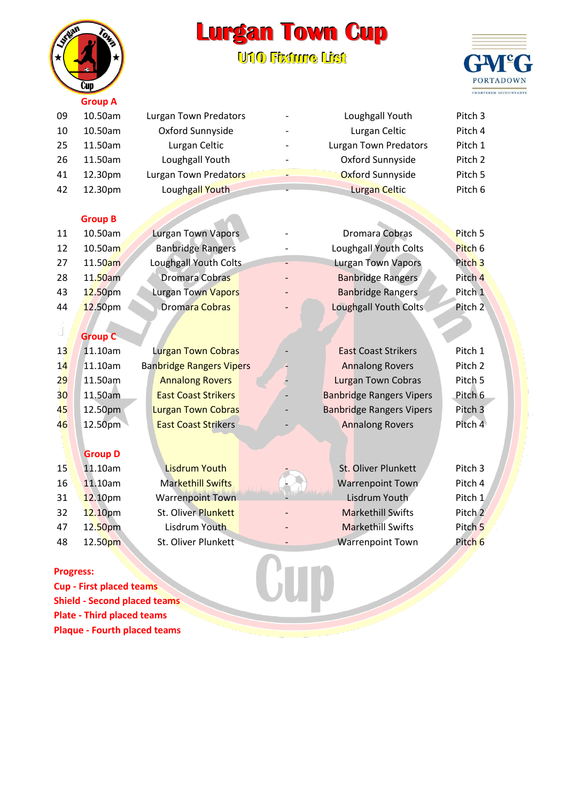## **Lurgan Town Cup**

**U10 Fiixture Liist**



|                  | <b>Group A</b>                      |                                 |                                 |                    |
|------------------|-------------------------------------|---------------------------------|---------------------------------|--------------------|
| 09               | 10.50am                             | Lurgan Town Predators           | Loughgall Youth                 | Pitch <sub>3</sub> |
| 10               | 10.50am                             | Oxford Sunnyside                | Lurgan Celtic                   | Pitch 4            |
| 25               | 11.50am                             | Lurgan Celtic                   | <b>Lurgan Town Predators</b>    | Pitch 1            |
| 26               | 11.50am                             | Loughgall Youth                 | Oxford Sunnyside                | Pitch <sub>2</sub> |
| 41               | 12.30pm                             | Lurgan Town Predators           | Oxford Sunnyside                | Pitch 5            |
| 42               | 12.30pm                             | Loughgall Youth                 | <b>Lurgan Celtic</b>            | Pitch 6            |
|                  |                                     |                                 |                                 |                    |
|                  | <b>Group B</b>                      |                                 |                                 |                    |
| 11               | 10.50am                             | <b>Lurgan Town Vapors</b>       | <b>Dromara Cobras</b>           | Pitch 5            |
| 12               | 10.50am                             | <b>Banbridge Rangers</b>        | Loughgall Youth Colts           | Pitch 6            |
| 27               | 11.50am                             | Loughgall Youth Colts           | <b>Lurgan Town Vapors</b>       | Pitch <sub>3</sub> |
| 28               | 11.50am                             | <b>Dromara Cobras</b>           | <b>Banbridge Rangers</b>        | Pitch <sub>4</sub> |
| 43               | 12.50pm                             | Lurgan Town Vapors              | <b>Banbridge Rangers</b>        | Pitch 1            |
| 44               | 12.50pm                             | Dromara Cobras                  | Loughgall Youth Colts           | Pitch <sub>2</sub> |
|                  |                                     |                                 |                                 |                    |
|                  | <b>Group C</b>                      |                                 |                                 |                    |
| 13               | 11.10am                             | <b>Lurgan Town Cobras</b>       | <b>East Coast Strikers</b>      | Pitch 1            |
| 14               | 11.10am                             | <b>Banbridge Rangers Vipers</b> | <b>Annalong Rovers</b>          | Pitch <sub>2</sub> |
| 29               | 11.50am                             | <b>Annalong Rovers</b>          | <b>Lurgan Town Cobras</b>       | Pitch 5            |
| 30               | 11.50am                             | <b>East Coast Strikers</b>      | <b>Banbridge Rangers Vipers</b> | Pitch <sub>6</sub> |
| 45               | 12.50pm                             | <b>Lurgan Town Cobras</b>       | <b>Banbridge Rangers Vipers</b> | Pitch <sub>3</sub> |
| 46               | 12.50pm                             | <b>East Coast Strikers</b>      | <b>Annalong Rovers</b>          | Pitch 4            |
|                  |                                     |                                 |                                 |                    |
|                  | <b>Group D</b>                      |                                 |                                 |                    |
| 15               | 11.10am                             | <b>Lisdrum Youth</b>            | St. Oliver Plunkett             | Pitch <sub>3</sub> |
| 16               | 11.10am                             | <b>Markethill Swifts</b>        | <b>Warrenpoint Town</b>         | Pitch 4            |
| 31               | 12.10pm                             | <b>Warrenpoint Town</b>         | Lisdrum Youth                   | Pitch 1            |
| 32               | 12.10pm                             | St. Oliver Plunkett             | <b>Markethill Swifts</b>        | Pitch 2            |
| 47               | 12.50pm                             | Lisdrum Youth                   | <b>Markethill Swifts</b>        | Pitch <sub>5</sub> |
| 48               | 12.50pm                             | St. Oliver Plunkett             | <b>Warrenpoint Town</b>         | Pitch <sub>6</sub> |
|                  |                                     |                                 |                                 |                    |
| <b>Progress:</b> |                                     |                                 |                                 |                    |
|                  | <b>Cup - First placed teams</b>     |                                 |                                 |                    |
|                  | <b>Shield - Second placed teams</b> |                                 |                                 |                    |

## **Progress:**

**Cup - First placed teams Shield - Second placed teams Plate - Third placed teams Plaque - Fourth placed teams**